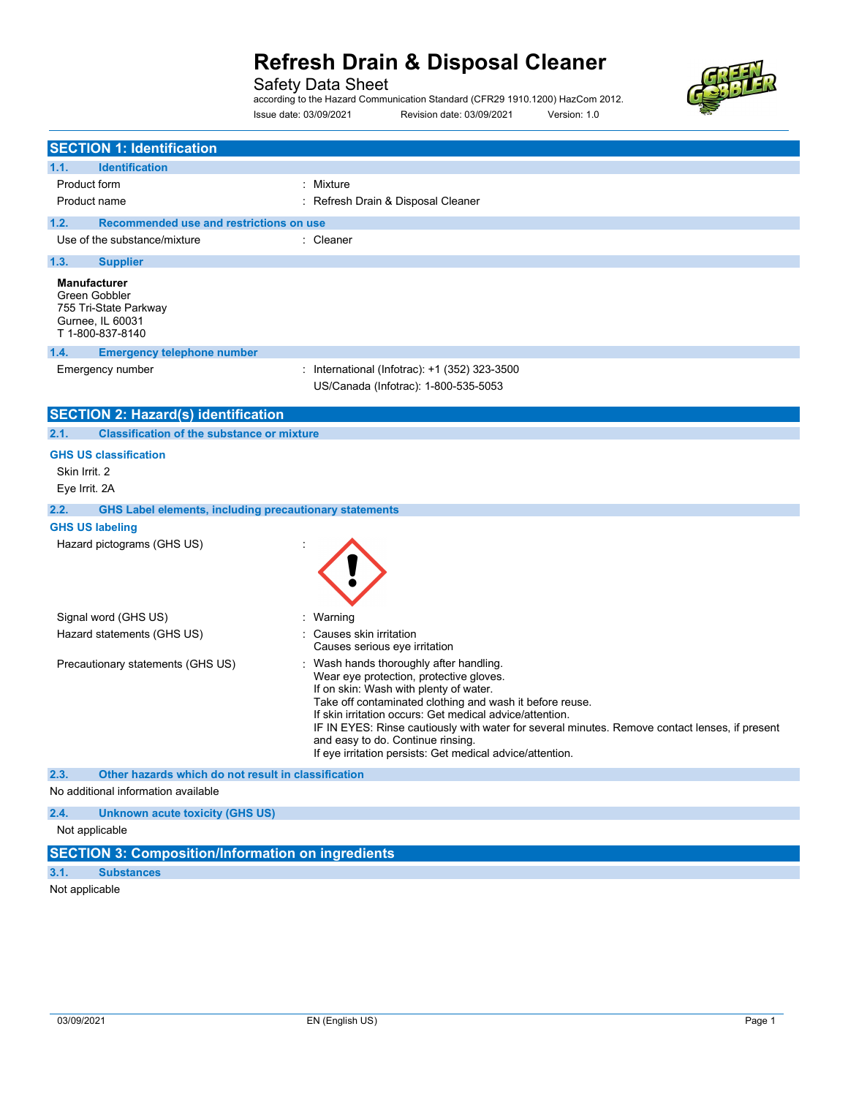### Safety Data Sheet

according to the Hazard Communication Standard (CFR29 1910.1200) HazCom 2012. Issue date: 03/09/2021 Revision date: 03/09/2021 Version: 1.0



|                                | <b>SECTION 1: Identification</b>                                                                      |                                                                                                                                                                                                                                                                                                                                                                                                                                                        |  |
|--------------------------------|-------------------------------------------------------------------------------------------------------|--------------------------------------------------------------------------------------------------------------------------------------------------------------------------------------------------------------------------------------------------------------------------------------------------------------------------------------------------------------------------------------------------------------------------------------------------------|--|
| 1.1.                           | <b>Identification</b>                                                                                 |                                                                                                                                                                                                                                                                                                                                                                                                                                                        |  |
| Product form                   |                                                                                                       | : Mixture                                                                                                                                                                                                                                                                                                                                                                                                                                              |  |
|                                | Product name                                                                                          | : Refresh Drain & Disposal Cleaner                                                                                                                                                                                                                                                                                                                                                                                                                     |  |
| 1.2.                           | Recommended use and restrictions on use                                                               |                                                                                                                                                                                                                                                                                                                                                                                                                                                        |  |
|                                | Use of the substance/mixture                                                                          | : Cleaner                                                                                                                                                                                                                                                                                                                                                                                                                                              |  |
| 1.3.                           | <b>Supplier</b>                                                                                       |                                                                                                                                                                                                                                                                                                                                                                                                                                                        |  |
|                                | <b>Manufacturer</b><br>Green Gobbler<br>755 Tri-State Parkway<br>Gurnee, IL 60031<br>T 1-800-837-8140 |                                                                                                                                                                                                                                                                                                                                                                                                                                                        |  |
| 1.4.                           | <b>Emergency telephone number</b>                                                                     |                                                                                                                                                                                                                                                                                                                                                                                                                                                        |  |
|                                | Emergency number                                                                                      | : International (Infotrac): +1 (352) 323-3500<br>US/Canada (Infotrac): 1-800-535-5053                                                                                                                                                                                                                                                                                                                                                                  |  |
|                                | <b>SECTION 2: Hazard(s) identification</b>                                                            |                                                                                                                                                                                                                                                                                                                                                                                                                                                        |  |
| 2.1.                           | <b>Classification of the substance or mixture</b>                                                     |                                                                                                                                                                                                                                                                                                                                                                                                                                                        |  |
| Skin Irrit. 2<br>Eye Irrit. 2A | <b>GHS US classification</b>                                                                          |                                                                                                                                                                                                                                                                                                                                                                                                                                                        |  |
| 2.2.                           | <b>GHS Label elements, including precautionary statements</b>                                         |                                                                                                                                                                                                                                                                                                                                                                                                                                                        |  |
|                                | <b>GHS US labeling</b>                                                                                |                                                                                                                                                                                                                                                                                                                                                                                                                                                        |  |
|                                | Hazard pictograms (GHS US)                                                                            |                                                                                                                                                                                                                                                                                                                                                                                                                                                        |  |
|                                | Signal word (GHS US)                                                                                  | Warning                                                                                                                                                                                                                                                                                                                                                                                                                                                |  |
|                                | Hazard statements (GHS US)                                                                            | Causes skin irritation<br>Causes serious eye irritation                                                                                                                                                                                                                                                                                                                                                                                                |  |
|                                | Precautionary statements (GHS US)                                                                     | Wash hands thoroughly after handling.<br>Wear eye protection, protective gloves.<br>If on skin: Wash with plenty of water.<br>Take off contaminated clothing and wash it before reuse.<br>If skin irritation occurs: Get medical advice/attention.<br>IF IN EYES: Rinse cautiously with water for several minutes. Remove contact lenses, if present<br>and easy to do. Continue rinsing.<br>If eye irritation persists: Get medical advice/attention. |  |
| 2.3.                           | Other hazards which do not result in classification                                                   |                                                                                                                                                                                                                                                                                                                                                                                                                                                        |  |
|                                | No additional information available                                                                   |                                                                                                                                                                                                                                                                                                                                                                                                                                                        |  |
| 2.4.                           | <b>Unknown acute toxicity (GHS US)</b>                                                                |                                                                                                                                                                                                                                                                                                                                                                                                                                                        |  |
| Not applicable                 |                                                                                                       |                                                                                                                                                                                                                                                                                                                                                                                                                                                        |  |
|                                | <b>SECTION 3: Composition/Information on ingredients</b>                                              |                                                                                                                                                                                                                                                                                                                                                                                                                                                        |  |
| 3.1.                           | <b>Substances</b>                                                                                     |                                                                                                                                                                                                                                                                                                                                                                                                                                                        |  |

Not applicable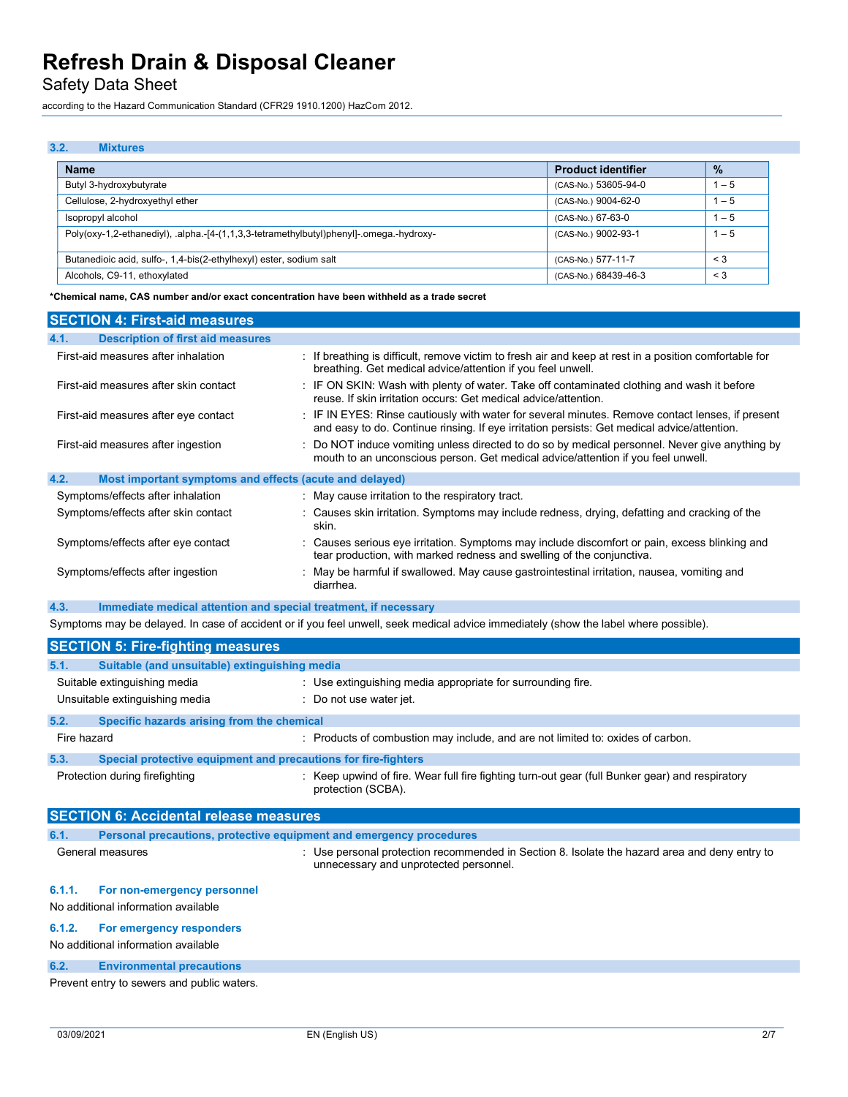Safety Data Sheet

according to the Hazard Communication Standard (CFR29 1910.1200) HazCom 2012.

## 3.2. Mixtures Name Product identifier and the contract of the contract of the contract of the contract of the contract of the contract of the contract of the contract of the contract of the contract of the contract of the contract of th Butyl 3-hydroxybutyrate and the state of the state of the state of the state of the state of the state of the state of the state of the state of the state of the state of the state of the state of the state of the state of Cellulose, 2-hydroxyethyl ether (CAS-No.) 9004-62-0 1 – 5  $\vert$  Isopropyl alcohol  $\vert$  1 – 5 Poly(oxy-1,2-ethanediyl), .alpha.-[4-(1,1,3,3-tetramethylbutyl)phenyl]-.omega.-hydroxy- (CAS-No.) 9002-93-1 1 – 5 Butanedioic acid, sulfo-, 1,4-bis(2-ethylhexyl) ester, sodium salt <br>
3 < 3 < 3 < 3 < 3 < 4 < 4 < 5 < 577-11-7 < 4 < 5 < 577-11-7 < 578-11-7 < 589-11-7 < 589-11-7 < 589-11-7 < 589-11-7 < 589-11-7 < 589-11-7 < 589-11-7 < 589 Alcohols, C9-11, ethoxylated <a>>  $\begin{vmatrix} 68439 - 46 - 3 \end{vmatrix}$ <a>  $\begin{vmatrix} 3 & 3 \end{vmatrix}$ <a>  $\begin{vmatrix} 3 & 3 \end{vmatrix}$ <a>  $\begin{vmatrix} 3 & 3 \end{vmatrix}$

\*Chemical name, CAS number and/or exact concentration have been withheld as a trade secret

| <b>SECTION 4: First-aid measures</b>                                    |                                                                                                                                                                                                 |  |
|-------------------------------------------------------------------------|-------------------------------------------------------------------------------------------------------------------------------------------------------------------------------------------------|--|
| <b>Description of first aid measures</b><br>4.1.                        |                                                                                                                                                                                                 |  |
| First-aid measures after inhalation                                     | If breathing is difficult, remove victim to fresh air and keep at rest in a position comfortable for<br>breathing. Get medical advice/attention if you feel unwell.                             |  |
| First-aid measures after skin contact                                   | : IF ON SKIN: Wash with plenty of water. Take off contaminated clothing and wash it before<br>reuse. If skin irritation occurs: Get medical advice/attention.                                   |  |
| First-aid measures after eye contact                                    | : IF IN EYES: Rinse cautiously with water for several minutes. Remove contact lenses, if present<br>and easy to do. Continue rinsing. If eye irritation persists: Get medical advice/attention. |  |
| First-aid measures after ingestion                                      | Do NOT induce vomiting unless directed to do so by medical personnel. Never give anything by<br>mouth to an unconscious person. Get medical advice/attention if you feel unwell.                |  |
| 4.2.<br>Most important symptoms and effects (acute and delayed)         |                                                                                                                                                                                                 |  |
| Symptoms/effects after inhalation                                       | : May cause irritation to the respiratory tract.                                                                                                                                                |  |
| Symptoms/effects after skin contact                                     | : Causes skin irritation. Symptoms may include redness, drying, defatting and cracking of the<br>skin.                                                                                          |  |
| Symptoms/effects after eye contact                                      | Causes serious eye irritation. Symptoms may include discomfort or pain, excess blinking and<br>tear production, with marked redness and swelling of the conjunctiva.                            |  |
| Symptoms/effects after ingestion                                        | May be harmful if swallowed. May cause gastrointestinal irritation, nausea, vomiting and<br>diarrhea.                                                                                           |  |
| 4.3.<br>Immediate medical attention and special treatment, if necessary |                                                                                                                                                                                                 |  |

Symptoms may be delayed. In case of accident or if you feel unwell, seek medical advice immediately (show the label where possible).

|                                | <b>SECTION 5: Fire-fighting measures</b>                       |                                                                                                                                                    |  |
|--------------------------------|----------------------------------------------------------------|----------------------------------------------------------------------------------------------------------------------------------------------------|--|
| 5.1.                           | Suitable (and unsuitable) extinguishing media                  |                                                                                                                                                    |  |
|                                | Suitable extinguishing media                                   | : Use extinguishing media appropriate for surrounding fire.                                                                                        |  |
| Unsuitable extinguishing media |                                                                | Do not use water jet.                                                                                                                              |  |
| 5.2.                           | Specific hazards arising from the chemical                     |                                                                                                                                                    |  |
| Fire hazard                    |                                                                | : Products of combustion may include, and are not limited to: oxides of carbon.                                                                    |  |
| 5.3.                           | Special protective equipment and precautions for fire-fighters |                                                                                                                                                    |  |
| Protection during firefighting |                                                                | : Keep upwind of fire. Wear full fire fighting turn-out gear (full Bunker gear) and respiratory<br>protection (SCBA).                              |  |
|                                | <b>SECTION 6: Accidental release measures</b>                  |                                                                                                                                                    |  |
| 6.1.                           |                                                                | Personal precautions, protective equipment and emergency procedures                                                                                |  |
| General measures               |                                                                | $\therefore$ Use personal protection recommended in Section 8. Isolate the hazard area and deny entry to<br>unnecessary and unprotected personnel. |  |

### 6.1.1. For non-emergency personnel

#### No additional information available

#### 6.1.2. For emergency responders

No additional information available

#### 6.2. Environmental precautions

Prevent entry to sewers and public waters.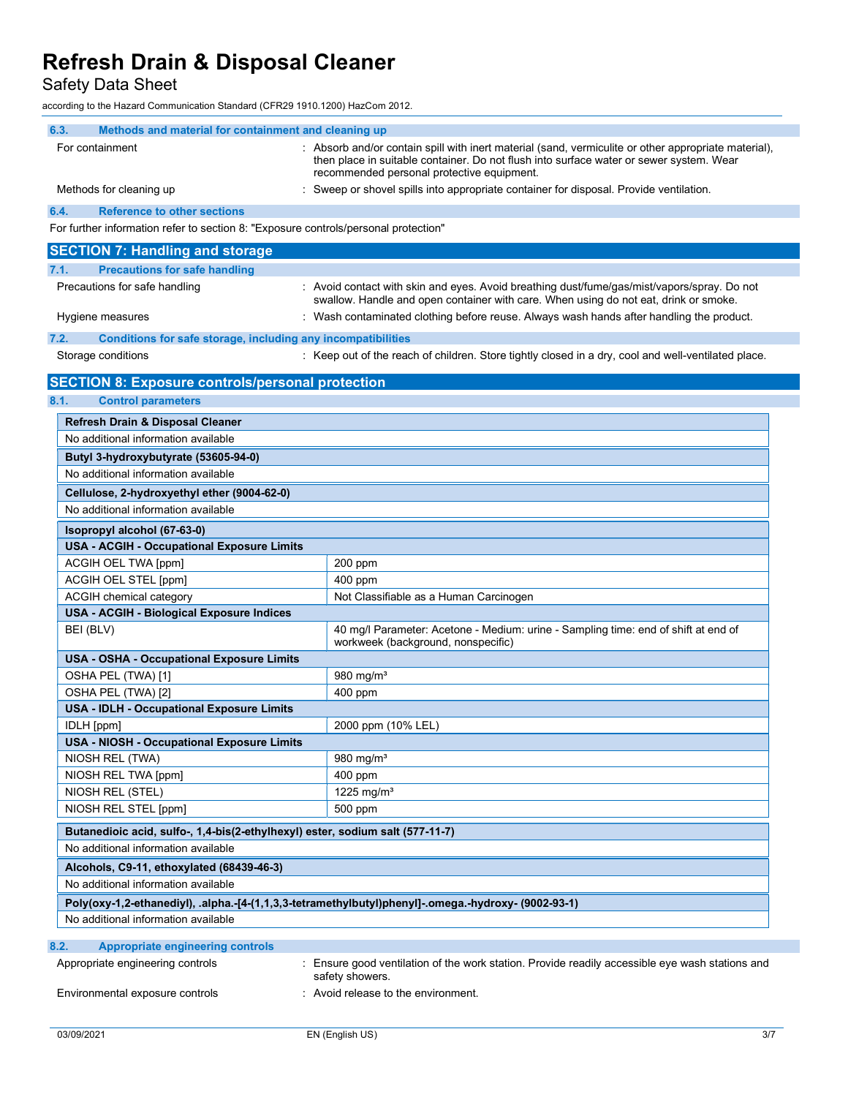Safety Data Sheet

according to the Hazard Communication Standard (CFR29 1910.1200) HazCom 2012.

| 6.3.<br>Methods and material for containment and cleaning up                                                                                           |                                                                                                                                                                                                                                               |  |  |  |
|--------------------------------------------------------------------------------------------------------------------------------------------------------|-----------------------------------------------------------------------------------------------------------------------------------------------------------------------------------------------------------------------------------------------|--|--|--|
| For containment                                                                                                                                        | : Absorb and/or contain spill with inert material (sand, vermiculite or other appropriate material),<br>then place in suitable container. Do not flush into surface water or sewer system. Wear<br>recommended personal protective equipment. |  |  |  |
| Methods for cleaning up                                                                                                                                | : Sweep or shovel spills into appropriate container for disposal. Provide ventilation.                                                                                                                                                        |  |  |  |
| <b>Reference to other sections</b><br>6.4.                                                                                                             |                                                                                                                                                                                                                                               |  |  |  |
| For further information refer to section 8: "Exposure controls/personal protection"                                                                    |                                                                                                                                                                                                                                               |  |  |  |
| <b>SECTION 7: Handling and storage</b>                                                                                                                 |                                                                                                                                                                                                                                               |  |  |  |
| 7.1.<br><b>Precautions for safe handling</b>                                                                                                           |                                                                                                                                                                                                                                               |  |  |  |
| Precautions for safe handling                                                                                                                          | : Avoid contact with skin and eyes. Avoid breathing dust/fume/gas/mist/vapors/spray. Do not<br>swallow. Handle and open container with care. When using do not eat, drink or smoke.                                                           |  |  |  |
| Hygiene measures                                                                                                                                       | : Wash contaminated clothing before reuse. Always wash hands after handling the product.                                                                                                                                                      |  |  |  |
| 7.2.<br>Conditions for safe storage, including any incompatibilities                                                                                   |                                                                                                                                                                                                                                               |  |  |  |
| Storage conditions                                                                                                                                     | : Keep out of the reach of children. Store tightly closed in a dry, cool and well-ventilated place.                                                                                                                                           |  |  |  |
| <b>SECTION 8: Exposure controls/personal protection</b>                                                                                                |                                                                                                                                                                                                                                               |  |  |  |
| 8.1.<br><b>Control parameters</b>                                                                                                                      |                                                                                                                                                                                                                                               |  |  |  |
| Refresh Drain & Disposal Cleaner                                                                                                                       |                                                                                                                                                                                                                                               |  |  |  |
| No additional information available                                                                                                                    |                                                                                                                                                                                                                                               |  |  |  |
| Butyl 3-hydroxybutyrate (53605-94-0)                                                                                                                   |                                                                                                                                                                                                                                               |  |  |  |
| No additional information available                                                                                                                    |                                                                                                                                                                                                                                               |  |  |  |
| Cellulose, 2-hydroxyethyl ether (9004-62-0)                                                                                                            |                                                                                                                                                                                                                                               |  |  |  |
| No additional information available                                                                                                                    |                                                                                                                                                                                                                                               |  |  |  |
| Isopropyl alcohol (67-63-0)                                                                                                                            |                                                                                                                                                                                                                                               |  |  |  |
| <b>USA - ACGIH - Occupational Exposure Limits</b>                                                                                                      |                                                                                                                                                                                                                                               |  |  |  |
| ACGIH OEL TWA [ppm]                                                                                                                                    | 200 ppm                                                                                                                                                                                                                                       |  |  |  |
| ACGIH OEL STEL [ppm]                                                                                                                                   | 400 ppm                                                                                                                                                                                                                                       |  |  |  |
| ACGIH chemical category                                                                                                                                | Not Classifiable as a Human Carcinogen                                                                                                                                                                                                        |  |  |  |
| USA - ACGIH - Biological Exposure Indices                                                                                                              |                                                                                                                                                                                                                                               |  |  |  |
| BEI (BLV)                                                                                                                                              | 40 mg/l Parameter: Acetone - Medium: urine - Sampling time: end of shift at end of<br>workweek (background, nonspecific)                                                                                                                      |  |  |  |
| <b>USA - OSHA - Occupational Exposure Limits</b>                                                                                                       |                                                                                                                                                                                                                                               |  |  |  |
| OSHA PEL (TWA) [1]                                                                                                                                     | 980 mg/m <sup>3</sup>                                                                                                                                                                                                                         |  |  |  |
| OSHA PEL (TWA) [2]                                                                                                                                     | 400 ppm                                                                                                                                                                                                                                       |  |  |  |
| <b>USA - IDLH - Occupational Exposure Limits</b>                                                                                                       |                                                                                                                                                                                                                                               |  |  |  |
| IDLH [ppm]                                                                                                                                             | 2000 ppm (10% LEL)                                                                                                                                                                                                                            |  |  |  |
| USA - NIOSH - Occupational Exposure Limits<br>NIOSH REL (TWA)                                                                                          | 980 $mg/m3$                                                                                                                                                                                                                                   |  |  |  |
| NIOSH REL TWA [ppm]                                                                                                                                    | 400 ppm                                                                                                                                                                                                                                       |  |  |  |
| NIOSH REL (STEL)                                                                                                                                       | 1225 mg/m <sup>3</sup>                                                                                                                                                                                                                        |  |  |  |
| NIOSH REL STEL [ppm]                                                                                                                                   | 500 ppm                                                                                                                                                                                                                                       |  |  |  |
| Butanedioic acid, sulfo-, 1,4-bis(2-ethylhexyl) ester, sodium salt (577-11-7)                                                                          |                                                                                                                                                                                                                                               |  |  |  |
| No additional information available                                                                                                                    |                                                                                                                                                                                                                                               |  |  |  |
| Alcohols, C9-11, ethoxylated (68439-46-3)                                                                                                              |                                                                                                                                                                                                                                               |  |  |  |
| No additional information available                                                                                                                    |                                                                                                                                                                                                                                               |  |  |  |
|                                                                                                                                                        |                                                                                                                                                                                                                                               |  |  |  |
| Poly(oxy-1,2-ethanediyl), .alpha.-[4-(1,1,3,3-tetramethylbutyl)phenyl]-.omega.-hydroxy- (9002-93-1)<br>No additional information available             |                                                                                                                                                                                                                                               |  |  |  |
|                                                                                                                                                        |                                                                                                                                                                                                                                               |  |  |  |
| 8.2.<br><b>Appropriate engineering controls</b>                                                                                                        |                                                                                                                                                                                                                                               |  |  |  |
| : Ensure good ventilation of the work station. Provide readily accessible eye wash stations and<br>Appropriate engineering controls<br>safety showers. |                                                                                                                                                                                                                                               |  |  |  |
| : Avoid release to the environment.<br>Environmental exposure controls                                                                                 |                                                                                                                                                                                                                                               |  |  |  |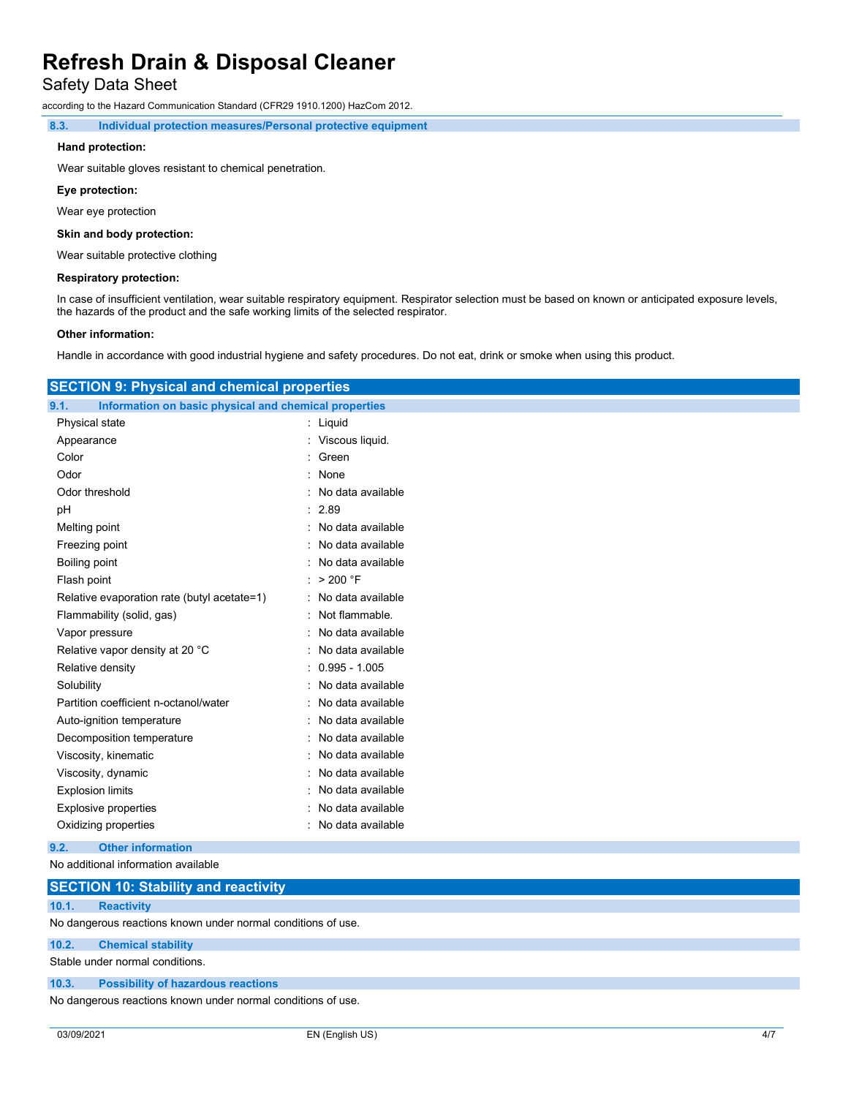Safety Data Sheet

according to the Hazard Communication Standard (CFR29 1910.1200) HazCom 2012.

8.3. Individual protection measures/Personal protective equipment

#### Hand protection:

Wear suitable gloves resistant to chemical penetration.

#### Eye protection:

Wear eye protection

#### Skin and body protection:

Wear suitable protective clothing

#### Respiratory protection:

In case of insufficient ventilation, wear suitable respiratory equipment. Respirator selection must be based on known or anticipated exposure levels, the hazards of the product and the safe working limits of the selected respirator.

#### Other information:

Handle in accordance with good industrial hygiene and safety procedures. Do not eat, drink or smoke when using this product.

| <b>SECTION 9: Physical and chemical properties</b>            |                     |  |
|---------------------------------------------------------------|---------------------|--|
| 9.1.<br>Information on basic physical and chemical properties |                     |  |
| Physical state                                                | : Liquid            |  |
| Appearance                                                    | : Viscous liquid.   |  |
| Color                                                         | Green               |  |
| Odor                                                          | : None              |  |
| Odor threshold                                                | No data available   |  |
| pH                                                            | : 2.89              |  |
| Melting point                                                 | : No data available |  |
| Freezing point                                                | No data available   |  |
| <b>Boiling point</b>                                          | No data available   |  |
| Flash point                                                   | > 200 °F            |  |
| Relative evaporation rate (butyl acetate=1)                   | No data available   |  |
| Flammability (solid, gas)                                     | Not flammable.      |  |
| Vapor pressure                                                | No data available   |  |
| Relative vapor density at 20 °C                               | No data available   |  |
| Relative density                                              | $0.995 - 1.005$     |  |
| Solubility                                                    | No data available   |  |
| Partition coefficient n-octanol/water                         | No data available   |  |
| Auto-ignition temperature                                     | No data available   |  |
| Decomposition temperature                                     | No data available   |  |
| Viscosity, kinematic                                          | No data available   |  |
| Viscosity, dynamic                                            | No data available   |  |
| <b>Explosion limits</b>                                       | No data available   |  |
| <b>Explosive properties</b>                                   | No data available   |  |
| Oxidizing properties                                          | : No data available |  |
| <b>Other information</b><br>9.2.                              |                     |  |
| No additional information available                           |                     |  |
| <b>SECTION 10: Stability and reactivity</b>                   |                     |  |
| <b>Reactivity</b><br>10.1.                                    |                     |  |
| No dangerous reactions known under normal conditions of use.  |                     |  |

#### 10.2. Chemical stability

Stable under normal conditions.

## 10.3. Possibility of hazardous reactions

No dangerous reactions known under normal conditions of use.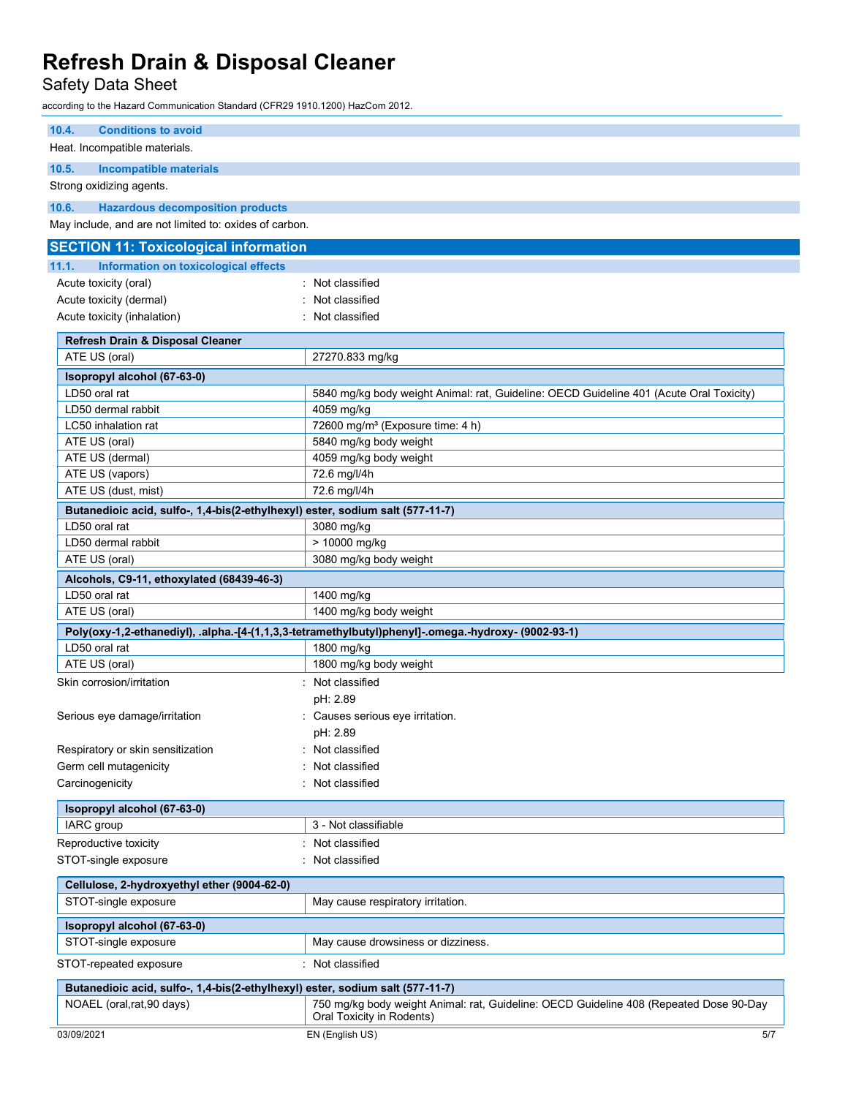Safety Data Sheet

according to the Hazard Communication Standard (CFR29 1910.1200) HazCom 2012.

| <b>Conditions to avoid</b><br>10.4.                                                            |                                                                                                                     |  |  |
|------------------------------------------------------------------------------------------------|---------------------------------------------------------------------------------------------------------------------|--|--|
| Heat. Incompatible materials.                                                                  |                                                                                                                     |  |  |
| 10.5.<br><b>Incompatible materials</b>                                                         |                                                                                                                     |  |  |
| Strong oxidizing agents.                                                                       |                                                                                                                     |  |  |
| 10.6.<br><b>Hazardous decomposition products</b>                                               |                                                                                                                     |  |  |
| May include, and are not limited to: oxides of carbon.                                         |                                                                                                                     |  |  |
| <b>SECTION 11: Toxicological information</b>                                                   |                                                                                                                     |  |  |
| 11.1.<br>Information on toxicological effects                                                  |                                                                                                                     |  |  |
| Acute toxicity (oral)                                                                          | Not classified                                                                                                      |  |  |
|                                                                                                | Not classified                                                                                                      |  |  |
| Acute toxicity (inhalation)                                                                    | Acute toxicity (dermal)<br>Not classified                                                                           |  |  |
|                                                                                                |                                                                                                                     |  |  |
| Refresh Drain & Disposal Cleaner                                                               |                                                                                                                     |  |  |
| ATE US (oral)                                                                                  | 27270.833 mg/kg                                                                                                     |  |  |
| Isopropyl alcohol (67-63-0)                                                                    |                                                                                                                     |  |  |
| LD50 oral rat                                                                                  | 5840 mg/kg body weight Animal: rat, Guideline: OECD Guideline 401 (Acute Oral Toxicity)                             |  |  |
| LD50 dermal rabbit                                                                             | 4059 mg/kg                                                                                                          |  |  |
| LC50 inhalation rat                                                                            | 72600 mg/m <sup>3</sup> (Exposure time: 4 h)<br>5840 mg/kg body weight                                              |  |  |
| ATE US (oral)<br>ATE US (dermal)                                                               | 4059 mg/kg body weight                                                                                              |  |  |
| ATE US (vapors)                                                                                | 72.6 mg/l/4h                                                                                                        |  |  |
| ATE US (dust, mist)                                                                            | 72.6 mg/l/4h                                                                                                        |  |  |
|                                                                                                |                                                                                                                     |  |  |
| Butanedioic acid, sulfo-, 1,4-bis(2-ethylhexyl) ester, sodium salt (577-11-7)<br>LD50 oral rat |                                                                                                                     |  |  |
| LD50 dermal rabbit                                                                             | 3080 mg/kg<br>> 10000 mg/kg                                                                                         |  |  |
| ATE US (oral)                                                                                  | 3080 mg/kg body weight                                                                                              |  |  |
|                                                                                                |                                                                                                                     |  |  |
| Alcohols, C9-11, ethoxylated (68439-46-3)<br>LD50 oral rat                                     |                                                                                                                     |  |  |
| ATE US (oral)                                                                                  | 1400 mg/kg<br>1400 mg/kg body weight                                                                                |  |  |
|                                                                                                |                                                                                                                     |  |  |
| LD50 oral rat                                                                                  | Poly(oxy-1,2-ethanediyl), .alpha.-[4-(1,1,3,3-tetramethylbutyl)phenyl]-.omega.-hydroxy- (9002-93-1)                 |  |  |
| ATE US (oral)                                                                                  | 1800 mg/kg<br>1800 mg/kg body weight                                                                                |  |  |
| Skin corrosion/irritation                                                                      | : Not classified                                                                                                    |  |  |
|                                                                                                |                                                                                                                     |  |  |
|                                                                                                | pH: 2.89                                                                                                            |  |  |
| Serious eye damage/irritation                                                                  | Causes serious eye irritation.<br>pH: 2.89                                                                          |  |  |
| Respiratory or skin sensitization                                                              | Not classified                                                                                                      |  |  |
| Germ cell mutagenicity                                                                         | Not classified                                                                                                      |  |  |
| Carcinogenicity                                                                                | Not classified                                                                                                      |  |  |
|                                                                                                |                                                                                                                     |  |  |
| Isopropyl alcohol (67-63-0)                                                                    |                                                                                                                     |  |  |
| IARC group                                                                                     | 3 - Not classifiable                                                                                                |  |  |
| Reproductive toxicity                                                                          | : Not classified                                                                                                    |  |  |
| STOT-single exposure                                                                           | Not classified                                                                                                      |  |  |
| Cellulose, 2-hydroxyethyl ether (9004-62-0)                                                    |                                                                                                                     |  |  |
| STOT-single exposure                                                                           | May cause respiratory irritation.                                                                                   |  |  |
|                                                                                                |                                                                                                                     |  |  |
| Isopropyl alcohol (67-63-0)<br>STOT-single exposure                                            | May cause drowsiness or dizziness.                                                                                  |  |  |
|                                                                                                |                                                                                                                     |  |  |
| STOT-repeated exposure                                                                         | : Not classified                                                                                                    |  |  |
| Butanedioic acid, sulfo-, 1,4-bis(2-ethylhexyl) ester, sodium salt (577-11-7)                  |                                                                                                                     |  |  |
| NOAEL (oral, rat, 90 days)                                                                     | 750 mg/kg body weight Animal: rat, Guideline: OECD Guideline 408 (Repeated Dose 90-Day<br>Oral Toxicity in Rodents) |  |  |
| 03/09/2021                                                                                     | EN (English US)<br>5/7                                                                                              |  |  |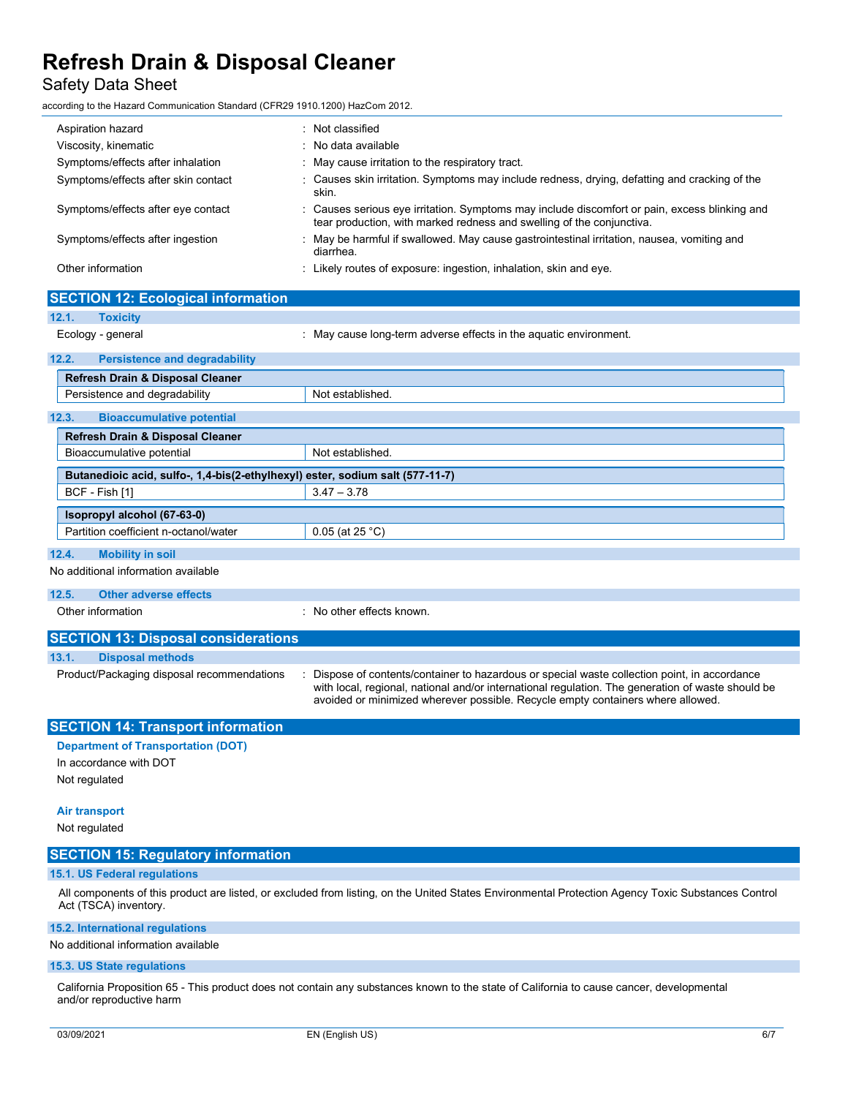### Safety Data Sheet

SECTION 12: Ecological info

according to the Hazard Communication Standard (CFR29 1910.1200) HazCom 2012.

| Aspiration hazard                   | : Not classified                                                                                                                                                       |
|-------------------------------------|------------------------------------------------------------------------------------------------------------------------------------------------------------------------|
| Viscosity, kinematic                | $\therefore$ No data available                                                                                                                                         |
| Symptoms/effects after inhalation   | : May cause irritation to the respiratory tract.                                                                                                                       |
| Symptoms/effects after skin contact | : Causes skin irritation. Symptoms may include redness, drying, defatting and cracking of the<br>skin.                                                                 |
| Symptoms/effects after eye contact  | : Causes serious eye irritation. Symptoms may include discomfort or pain, excess blinking and<br>tear production, with marked redness and swelling of the conjunctiva. |
| Symptoms/effects after ingestion    | : May be harmful if swallowed. May cause gastrointestinal irritation, nausea, vomiting and<br>diarrhea.                                                                |
| Other information                   | : Likely routes of exposure: ingestion, inhalation, skin and eye.                                                                                                      |

| <b>SECTION 12. ECOLOGICAL INTOITIATION</b>                                    |                                                                                                                                                                                                                                                                                     |  |  |
|-------------------------------------------------------------------------------|-------------------------------------------------------------------------------------------------------------------------------------------------------------------------------------------------------------------------------------------------------------------------------------|--|--|
| 12.1.<br><b>Toxicity</b>                                                      |                                                                                                                                                                                                                                                                                     |  |  |
| Ecology - general                                                             | : May cause long-term adverse effects in the aquatic environment.                                                                                                                                                                                                                   |  |  |
| 12.2.<br><b>Persistence and degradability</b>                                 |                                                                                                                                                                                                                                                                                     |  |  |
| <b>Refresh Drain &amp; Disposal Cleaner</b>                                   |                                                                                                                                                                                                                                                                                     |  |  |
| Persistence and degradability                                                 | Not established.                                                                                                                                                                                                                                                                    |  |  |
| 12.3.<br><b>Bioaccumulative potential</b>                                     |                                                                                                                                                                                                                                                                                     |  |  |
| Refresh Drain & Disposal Cleaner                                              |                                                                                                                                                                                                                                                                                     |  |  |
| Bioaccumulative potential                                                     | Not established.                                                                                                                                                                                                                                                                    |  |  |
| Butanedioic acid, sulfo-, 1,4-bis(2-ethylhexyl) ester, sodium salt (577-11-7) |                                                                                                                                                                                                                                                                                     |  |  |
| BCF - Fish [1]                                                                | $3.47 - 3.78$                                                                                                                                                                                                                                                                       |  |  |
| Isopropyl alcohol (67-63-0)                                                   |                                                                                                                                                                                                                                                                                     |  |  |
| Partition coefficient n-octanol/water                                         | $0.05$ (at 25 °C)                                                                                                                                                                                                                                                                   |  |  |
| 12.4.<br><b>Mobility in soil</b>                                              |                                                                                                                                                                                                                                                                                     |  |  |
| No additional information available                                           |                                                                                                                                                                                                                                                                                     |  |  |
| 12.5.<br><b>Other adverse effects</b>                                         |                                                                                                                                                                                                                                                                                     |  |  |
| Other information                                                             | No other effects known.                                                                                                                                                                                                                                                             |  |  |
| <b>SECTION 13: Disposal considerations</b>                                    |                                                                                                                                                                                                                                                                                     |  |  |
| 13.1.<br><b>Disposal methods</b>                                              |                                                                                                                                                                                                                                                                                     |  |  |
| Product/Packaging disposal recommendations                                    | Dispose of contents/container to hazardous or special waste collection point, in accordance<br>with local, regional, national and/or international regulation. The generation of waste should be<br>avoided or minimized wherever possible. Recycle empty containers where allowed. |  |  |
| <b>SECTION 14: Transport information</b>                                      |                                                                                                                                                                                                                                                                                     |  |  |
| <b>Department of Transportation (DOT)</b>                                     |                                                                                                                                                                                                                                                                                     |  |  |

In accordance with DOT Not regulated

#### Air transport

Not regulated

### SECTION 15: Regulatory information

#### 15.1. US Federal regulations

All components of this product are listed, or excluded from listing, on the United States Environmental Protection Agency Toxic Substances Control Act (TSCA) inventory.

#### 15.2. International regulations

No additional information available

#### 15.3. US State regulations

California Proposition 65 - This product does not contain any substances known to the state of California to cause cancer, developmental and/or reproductive harm